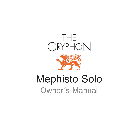



# Mephisto Solo Owner´s Manual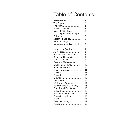## Table of Contents:

| Introduction              | 3              |
|---------------------------|----------------|
| The Gryphon               | 3              |
| The Man                   | $\overline{4}$ |
| Made in Denmark           | 4              |
| Musical Objectives        | 5              |
| The Gryphon Master Tape   |                |
| Collection                | 5              |
| Design Principles         | 5              |
| Exterior Design           | $\overline{7}$ |
| Manufacture and Assembly. | 8              |
| Using Your Gryphon        | 8              |
| AC Voltage                | 8              |
| Burn-In and Warm-Up       | 8              |
| Balanced Connections      | 9              |
| Choice of Cables          | 9              |
| Care and Maintenance      | 9              |
| Gryphon Mephisto          | 10             |
| Sonic Excellence          | 10             |
| Circuit Topology          | 11             |
| Class A                   | 11             |
| Protection                | 13             |
| Exterior                  | 13             |
| Installation              | 14             |
| AC Power, Placement       | 14             |
| Power Cords, AC Polarity  | 15             |
| Front Panel Functions     | 15             |
| Green Bias                | 16             |
| Rear Panel Functions      | 17             |
| Protection system         | 17             |
| Fuses,                    | 18             |
| Troubleshooting           | 19             |
| Warranty                  | 20             |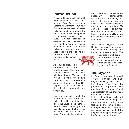## **Introduction**

Welcome to the global family of proud owners of fine audio components from Gryphon Audio Designs of Denmark. Your new Gryphon unit has been painstakingly designed to re-create the sound of live music taking place in its original recorded space. Every Gryphon product is designed to cater to the needs of the most discerning music enthusiast with sumptuous styling and superb user-friendliness which elevate it above the mundane world of con-

ventional audio components.

As audiophiles, the members of the

Gryphon design team are constantly reminded to keep their priorities straight. We are not involved in "hi-fi" for its own sake, but strictly as a means to an end, in the service of our lifelong love of the live music experience in all its sonic and emotional glory.

Our higher goal is to bring to the listener a "You-Are-There" sensation. In taking up this challenge, the Gryphon designers go back to basics to analyze the essential nature of the live music experience. For us, an awareness of soundstaging, ambience and concert hall dimensions are necessary components. Dynamics and an unambiguous sense of instrument location even in the loudest passages are also high priorities. To achieve these objectives, Gryphon products offer exceptional speed and agility along with seamless coherence in the time domain.

Since 1985, Gryphon Audio Designs has quietly gone about the business of creating fine home audio components. We



know that you will appreciate and enjoy the benefits of our accumulated experience and share our abiding passion for music.

#### **The Gryphon**

In Greek mythology: A fabled creature, half-lion and halfeagle, combining the power of the "King of Beasts" with the grace of the "King of Birds". The guardian of the source of gold and protector of the Dionysian cup of infinite wealth.

In the real world: An acclaimed Danish audio engineering company employing cutting edge technology and common sense in the pursuit of the purest musical experience. We feel that the gryphon is an appropriate symbol for our high sonic goals.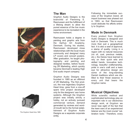



#### **The Man**

Gryphon Audio Designs is the brainchild of Flemming E. Rasmussen and the fulfillment of a lifelong dream to allow the purest essence of the live music experience to be recreated in the home environment.

Rasmussen holds a degree in painting and graphic arts from the Aarhus Art Academy, Denmark. During his studies, Rasmussen developed close relationships with the local music community and designed many LP covers and concert posters. After graduation, he taught photography and painting and designed textiles, before founding 2R Marketing, which quickly became Denmark's leading High End audio import company.

Gryphon Audio Designs was founded in 1985 as an offshoot of 2R Marketing, The first product, the now legendary Gryphon Head Amp, grew from a one-off spare time project developed only for the designers' own home systems. Although the Gryphon project was initially strictly a hobby, not an actively pursued commercial venture, demand generated by reviews and wordof-mouth led to the formal establishment of Gryphon Audio The Gryphon Head Amp 1985<br>
Designs as a separate corporate ibration tools." Therefore, every entity.

Following the immediate success of the Gryphon brand, all import business was phased out in 1993, so that Rasmussen could dedicate his efforts entirely to Gryphon.

#### **Made In Denmark**

Every product from Gryphon Audio Designs is designed and built in Denmark. This is much more than just a geographical fact. It is also a seal of approval, a stamp of quality. Living in a region with no natural resources (no oil, coal, precious metals, etc.), the Danes have learned to rely on their quick wits and skilled hands. Innovative technology, beautiful craftsmanship, pride in one's craft and a keen eye for attractive design are some of the long-standing Danish traditions which are distilled to their finest essence in every unit that bears the Gryphon name.

#### **Musical Objectives**

While scientific method and sophisticated technology play an important role in our electronics design work, at Gryphon we never lose sight of the fact that the keen ears of an experienced listener are the most crucial "cal-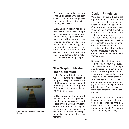Gryphon product exists for one simple purpose: to bring the user closer in the never-ending quest for a more natural and convincing musical illusion.

Every Gryphon design has been built to cruise effortlessly through even the most demanding musical passages, regardless of volume level, with a musical presentation defined by supreme articulation and immediacy, subtle dynamic shading and razorsharp focus. Refinement and delicacy are combined with power and authority for a natural, involving listening experience.

#### **The Gryphon Master Tape Collection**

In the Gryphon listening rooms, we are fortunate to possess a unique library of more than 1,000 original master tapes of recordings made during the Golden Age of studio engineering from 1956-1976.

Unlike conventional commercial releases, our master tapes capture the dynamic contrasts and subtle inner harmonic structure of the musical event, forcing us to work to a higher standard in Gryphon is located in beautiful tranquil sur-<br> **Our efforts to maintain the integri-** traces of the highest purity. ty of the original musical performance.

#### **Design Principles**

With state of the art technical equipment and some of the finest minds in the audio engineering field at our disposal, the Gryphon brand name continues to define the highest audiophile standards of subjective and technical performance.

The dual mono configuration radically eliminates any possibility of crosstalk or other interference between channels and provides infinite channel separation which contributes to the ability to create space, focus, depth and transparency.

Because the electrical power coming out of your wall fluctuates wildly in terms of voltage and distortion, Gryphon incorporates heavily regulated multistage power supplies that act as effective mains conditioning filters. Displays and control circuits are fed by a separate power supply to isolate any digital noise artifacts and effectively prevent them from contaminating the signal path.

While the printed circuit boards in more conventional audio products utilize conductor tracks a mere 35 micron thick, Gryphon employs at least 70 micron



roundings.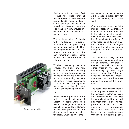Beginning with our very first product, "The Head Amp" all Gryphon products have featured extremely wide frequency bandwidth, because the ability to reproduce ultra-sonic frequencies with no difficulty ensures linear phase across the audible frequency range.

The implementation of circuits with wideband frequency response is a painstaking endeavor in which the actual layout and ground pattern of the PC boards are crucial to the achievement of superior sonic performance with no loss of inherent stability.

Wideband frequency response ensures the high slew rate essential to the realistic handling of the ultra-fast transients which routinely occur in live music and is crucial in recreating the natural decay of musical instruments. Wide bandwidth also improves phase characteristics, for more correct soundstaging and imaging.

All Gryphon designs are realized with an absolute minimum of negative feedback, which when present in large amounts can actually increase TIM distortion. All Gryphon preamplifiers are designed with zero negative feedback. Gryphon power amplifiers apply zero or minimum negative feedback judiciously for improved linearity and bandwidth.

Gryphon research into the detrimental effects of magnetically induced distortion (MID) has led to the elimination of magnetizable materials wherever possible. To eliminate the effects of stray magnetic fields, non-magnetic materials are employed throughout, with the unavoidable exception of the transformer shield box.

The mechanical design of the cabinet and assembly methods are all carefully calculated to ensure minimal resonance, either through the use of mechanically grounded high mass or decoupling. Vibrationsensitive components, capacitors in particular, are thus guaranteed a non-resonant environment.

The heavy, thick chassis offers a vibration-proof environment for the sensitive electronics inside and provides crucial shielding from a polluted world of low and high-frequency radio waves, power-line radiation and other electrical interference. Meticulous attention to such issues makes a significant contribution to the relaxing, open



Typical Gryphon module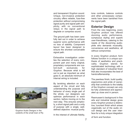and transparent Gryphon sound. Unique, non-invasive protection circuitry offers reliable, fuss-free protection without compromising signal purity and signal path simplicity, with no conventional relays in the signal path to degrade or compress sound.

The ground path has been carefully laid out in order to achieve superior sonic performance with no loss of stability. Component layout has been designed to ensure the shortest conceivable signal path.

Exhaustive investigation underlies the selection of every component part and many original, proprietary components are custom-built exclusively for Gryphon. Because what is left out is just as important as what goes in, an absolute minimum of internal wiring is included.

By lavishing attention on each aspect of the circuit and fully understanding the purpose and behavior of every single part of the whole, our designers can optimize performance in each section, before moving on to the next step. This ensures simplicity, a short signal path and a unity of purpose with a single, welldefined objective: musical purity.

In the interest of ultimate fidelity,

tone controls, balance controls and other unnecessary components have been banished from the signal path.

#### **Exterior Design**

From the very beginning, every Gryphon product has offered stunning audio performance, sumptuous styling and superb user-friendliness, catering to the needs of the discerning audiophile who demands musicality, convenience and aesthetics, all without compromise.

In every Gryphon product, form follows function in a unique synthesis of aesthetics and practicality. Gryphon stands for sophisticated technology with a high standard of industrial finish that also incorporates the best of handcraftsmanship.

The peerless finish, build quality, ergonomics and pride of ownership that contribute to the totality of the Gryphon concept can only be fully understood and appreciated up close and in person.

Rasmussen's background in fine arts and industrial design gives every Gryphon product a distinctive, luxuriant finish which arises organically out of the audio circuit design and the user interface for a truly unique integration

of form and function.



Gryphon Audio Designs in the outskirts of the small town of Ry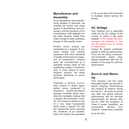## **Manufacture and Assembly**

At our laboratories and manufacturing facilities in Denmark, we maintain full control over every aspect of development and production, and the members of our conscientious staff diligently follow each Gryphon model from initial concept to early prototype, through to final quality control.

Printed circuit boards are assembled by a supplier of precision military and medical equipment with strict standards of quality control and pre-inspection of components. Chassis parts are manufactured by a specialist chosen solely for the outstanding quality of workmanship. In every aspect of every Gryphon product, the same stringent standards of excellence apply.

Following a 48-hour burn-in, each product is tested again, before being subjected to Gryphon's custom-developed transport simulator which simulates the inevitable shaking that a product will encounter in transit. The product is placed on top of a very large loudspeaker which plays a special CD with low frequencies which simulate the vibrations of an airplane. Each unit "travels" the equivalent

of 40 round trips from Denmark to Australia before leaving the factory.

## **AC Voltage**

Your Gryphon unit is especially made for the AC voltage of the country to which it has been shipped. If the voltage has been changed, the warranty is void and the product may be unsafe or malfunction.

Correct AC polarity contributes greatly to optimum performance. If you are not using a three-pin, non-reversible power plug, please experiment with the orientation of the plug for optimum performance.

## **Burn-In and Warm-Up**

Your Gryphon unit has been thoroughly tested and burned in before shipping. Performance will continue to improve during the first 40 – 50 hours of normal use. After this period optimum performance will be reached approximately 45 minutes after turn-on. With the exception of Class A power amplifiers, we recommend leaving your Gryphon components powered

up at all times.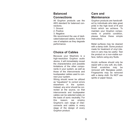## **Balanced Connections**

All Gryphon products use the AES standard for balanced connections.

- 1. Ground
- 2. Positive
- 3. Negative

We recommend the use of dedicated balanced cables. Avoid the use of adaptors as they degrade performance.

## **Choice of Cables**

Because your Mephisto is a high-resolution Gryphon audio device, it will immediately reveal the characteristics and possible limitations of the other components in your system, as well as those of the interconnects and loudspeaker cables used to connect your system.

Wiring should never be utilized as "equalizers" to correct errors elsewhere in the system. Instead, any error should be corrected at the source, so that interconnects and loudspeaker cables can be selected solely on the basis of sonic neutrality. For this reason, we employ Gryphon's own range of interconnects and cables in every stage of the design of every Gryphon product.

## **Care and Maintenance**

Gryphon products are handcrafted by individuals who take great pride in the high level of fit and finish which we achieve. To maintain your Gryphon components in pristine condition, please follow these simple instructions.

Metal surfaces may be cleaned with a damp cloth. Some product made for treatment of vinyl interiors in cars may be useful. Test the product on a non-visible surface, before using any fluids.

Acrylic surfaces should only be wiped with a very soft, dry cloth. Small scratches may be removed with fiberglass polish. Fingerprints may be removed with a damp cloth. Do NOT use spirits or paper tissue.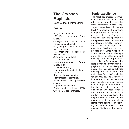## **The Gryphon Mephisto**

User Guide & Introduction

Features:

Fully balanced inputs 200 Watts per channel Pure Class A 40 High current bipolar output transistors pr. channel 500,000 µF power capacitor bank per channel Flat frequency response to beyond 350 kHz Zero negative feedback No output relays User-programmable Green Class A bias DC servo coupling Frequency-independent damping factor Rigid mechanical structure Microprocessor controlled, non-invasive "smart" protection system Upgradeable software. Double sealed, mil spec PCB with 105  $\mu$ m copper traces.

## **Sonic excellence**

The Mephisto impresses immediately with its ability to cruise effortlessly through even the most demanding musical passages, regardless of volume level. As a result of the constant high power reserves available at all times, the amplifier simply does not "see" the speaker, so the speaker's reactive load cannot degrade amplifier performance. Unlike other high power amplifiers, Gryphon's no compromise pure Class A topology allows the Mephisto to offer high power as well as refinement and delicacy in musical presentasion. It is our fundamental philosophy that all electronics in the playback chain must ideally be neutral and not add or subtract anything from the recording no matter how "attractive" such distortions may be. The Mephisto is by nature a product for the fortunate few who can afford such a statement, just as it is a product for the increasing number of audiophiles who seek purity in the reproduction of music, a product for the music lover who respects both the musicians and recording engineers enough to refrain from adding or subtracting anything in relation to the original intention of the recording.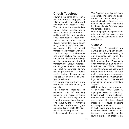#### **Circuit Topology**

Power is the name of the game and the Mephisto is equipped to take on even the most vicius and nightmarish of speaker loads. The output section uses Sanken bipolar output devices which have demonstrated extreme reliability in addition to outstanding sonic performance. These transistors can be called upon to deliver momentary peak power of 4,000 watts per channel without overload. Each of the 40 transistors is bypassed with individual film capacitors. The separate driver section has its own supply from individual windings on the custom-made toroidal transformers. Unique mechanical design ensures optimal thermal tracking between drivers and output devices. The driver section features its own generous bank of 50.000 uF of ultrafast capacitance.

The power capacitor bank is an astounding 500,000 uF array of capacitors.

No negative feedback is employed and DC coupling employs DC servo circuitry. Internal wiring in the signal path is kept to an absolute minimum. The input wiring is Gryphon Guideline Reference goldembedded silver cable. Only balanced inputs are provided. Unique even in this price range,

The Gryphon Mephisto utilizes a completely independent transformer and power supply for control circuits, effectively preventing digital noise generated by these circuits from reaching the amplifier circuits.

Gryphon proprietary speaker terminals accept bare wire, spade lugs, banana connectors or any combination.

## **Class A**

True Class A operation has always been a Gryphon benchmark, simply because nothing in our experience can match the sonic glories of pure Class A.

Unfortunately, true Class A is even rarer today than when we introduced the DM100. Rising consumer awareness has forced some manufacturers to stop making outrageous unsubstantiated claims of Class A power ratings that only exist in the fevered imagination of some marketing "expert".

Still, there is a growing number of so-called "new" Class A topologies based on automatic biasing which, simply explained, somehow allow the amplifier to sense when the bias should increase to ensure constant Class A performance!

If such thing were to actually work as claimed, it would be tantamount to a re-writing of the laws of physics. In order for an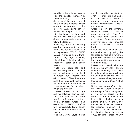amplifier to be able to increase bias and stabilize thermally to instantaneously track the dynamics of the input, it would have to be able to predict what is going to happen next on the recording. Auto-biasing can by nature only respond to something that has already happened and the bias will rush up and down in a desperate attempt to follow the last note.

Put bluntly, there is no such thing as a free lunch when it comes to pure Class A, so we repeat with no apologies: TRUE PURE CLASS A means heavy transformers, very large heatsinks, lots of heat, lots of electricity, expensive parts and costly assembly.

While we appreciate and endorse every effort to conserve energy and preserve our global resources, our research into efforts to obtain Class A performance from class A/B topologies makes it clear that there simply is no substitute for the sheer magic of pure class A.

However, based on thorough analysis of typical listening situations, we have devised Green bias (green for reduced environmental impact). Green bias offers TRUE, PURE CLASS A with considerably lower power consumption than the traditional solution.

With the DM100, Gryphon was

the first amplifier manufacturer ever to offer programmable Class A bias as a means of reducing power consumption without compromising Class A performance.

Green bias in the Gryphon Mephisto allows the user to select the amount of Class A at any given time, taking into account such factors as speaker sensitivity, room size , musical dynamics and overall volume level.

Green bias improves on our programmable bias by giving the fortunate owners of a Gryphon preamplifier the option of letting the preamplifier automatically control the bias.

Instead of a conventional potentiometer, the Gryphon Pandora Preamplifier employs a 85 positiion volume attenuator which can be used to select the bias to match the overall playback level, thus ensuring pure Class A at all times.

Unlike signal-sensing "auto-biasing systems" Green bias does not attempt to follow the signal at all, the current position of the volume control determines the bias setting whether music is playing or not. In effect, this means that if the user selects, for instance, position 46 ( Pandora ) on the volume control, then the bias will increase to 100% (High Bias) producing 200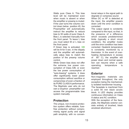Watts pure Class A. This bias level will be maintained even when music is absent or when the amplifier or preamp is muted. If the user turns the volume control down below position 45, the Preamplifier will automatically instruct the amplifier to reduce bias to 50 watts of pure Class A. Bias L is selected manually from the front panel. To leave L bias you must select M or L bias on the front panel.

If Green bias is activated, **GB** will be lit for 5 sec. in the dispaly and the amplifier will automatically adjus bias to match the postion of the preamp volume control.

While Green bias does not offer the extreme low power consumption of Class A/B, or even the low power consumption of "auto-biasing" systems, it does offer significantly lower power consumption without sacrifice or compromise of even a fraction of its PURE CLASS A performance. The Mephisto user who do not own a Gryphon preamplifier can access the programmable bias system manually.

#### **Protection**

The unique, non-invasive protection system offers reliable, fussfree protection without compromising signal purity and signal path simplicity, with no conventional relays in the signal path to degrade or compress sound.

When DC or HF is detected at the input, the amplifier powers down until the error condition is corrected.

The output signal is constantly compared to the input, so that, in the presence of a difference which exceeds predetermined limits (typically a short circuit condition), the amplifier mutes until the error condition has been corrected. Heatsink temperature is constantly monitored by a thermistor. In the event of overheating (temperature in excess of 80° C), the amplifier will power down and normal operation can resume when a safe operating temperature is reached.

#### **Exterior**

Non-magnetic materials are employed throughout, the only exception being the mechanically isolated transformer housing The faceplate is machined from a solid 40 mm black acrylic block. A LED display provides continuous information on Class A status and AC condition. With the exception of the faceplate, the Mephisto exterior consists entirely of brushed, black anodized alluminium.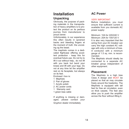## **Installation Unpacking**

Obviously, the purpose of packing materials in the transportation of heavy amplifiers is to protect the product on its perilous journey from manufacturer to proud owner.

Unfortunately, in our experience this often results in sprained backs and bleeding fingers at the moment of truth: the uncrating og the beast.

The mephisto comes in a dedicated flightcase offering excellent protection - keep this for eventual future use. Do not try to lift it out without help,. do not lift with you back but bend your knees and lift with your legs. Do not at any time let the amplifier rest on its faceplate, but always on its feet.

Enclosed i box is:

- 1 Mephisto
- 2 Pair of gloves
- 1 Acrylic polish
- 2 AC power cords
- 1 Warranty card
- 1 green bias cable

If anything is missing or damaged, please contact your Gryphon dealer immediately

## **AC Power**

#### VERY IMPORTANT

Before installation, you must ensure that sufficient current is available from you domestic AC power supply:

Minimum: 10A for 220/240 V Minimum: 20A for 100/120 V It is also very important that the wiring from your AC breaker can carry the high constant AC voltage with only a minimum of loss. A conductor with a minimum gauge of 1.5 sq. mm. is recommended.

The Mephisto should ideally be connected to a separate AC breaker group independent of other equipment.

#### **Placement**

The Mephisto is a high bias Class A design and MUST be placed so that air may circulate freely around the heatsinks. The Mephisto is equipped with tall feet for free air circulation, even on thick carpets. The feet also allow you to push the amplifier across the floor without lifting it.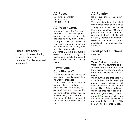**Fuses** - fuse holder placed just below display at front behind small heatsink. Can be acessed from front.

### **AC Fuses**

Mephisto Fuseholder: 220-240v. 8 AT 100-120v. 15 AT

## **AC Power Cords**

Use only a dedicated AC power cord. Do NOT use loudspeaker cable or other wire not expressly designed to carry high current. Improper cable or cables of insufficient gauge will generate heat and the insulation may melt with disastrous results.

AC cords DO have an audible effect on sound quality, but experiments should be carried out with due consideration to safety.

## **Power Line Conditioners?**

We do not recomend the use of any kind of power line conditioning with the Mephisto

If you wish to experiment with external line conditioners or other devices, we strongly recommend that you listen to the Mephisto without these devices before making your decision.

Remember to listen for correct sound and not merely different sound.

## **AC Polarity**

Do not run, thin, coiled, extension cords.

The Mephisto is a true dual mono construction and we must stongly emphasize the importance of symmetrical AC power polarity for each channel. Asymmetrical AC polarity will seriously degrade soundstage recreation and other important aspects of the Mephisto performance.

#### **Front panel functions** From left:

#### 1.ON/STB

Turns off all active circuitry, but there is still AC power inside the Amplifier. For full shutdown use the 2 master AC power switches on rear or disconnect the AC cords.

When turning the Mephisto on from the front, the Gryphon logo and all display indications will flash for approx 15 sec. before the amplifier is fully operational. When the amplifier is ready the Gryphon logo will stay on and 2 green **OK** indicators will be on for 15 sec. If Green bias cable is connected, Green bias (**GB**) light will also be on for 15 sec.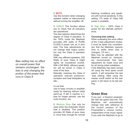2. **MUTE**

Use this function when changing speaker cables or interconnects without turning the amplifier off.

3. **CHECK** This function allows you to check that all indicators are operational.

The bias selector determines the degree of Class A operation. In the 100% mode the Mephisto provides 200 watts of PURE CLASS A power into an 8 ohm load. The bias adjustments do not change total output power, but only the Class A operation range.

With very efficient speakers, 200 Watts of pure Class A might rightly be considered overkill. With LOW BIAS, efficient speakers will be driven in Class A most of the time.

Naturally, lowering the Class A operation reduces powerconsumption and heat dissipation at idle...

#### 4.Low bias

Use to keep circuitry in amplifier ready for listening without initial warm-up. If left in inactive in L bias for longer periods, use the mute function, too.

5. **Medium Bias** Can only be used when the Automatic Green bias is disabled. This position provides 50 Watts of pure class A, more than enough for normal listening conditions and speakers with normal sensitivity. In this setting 175 watts of Class A/B power is available.

6. **High Bias** - 100% Class A power for the ultimate performance.

#### **Choosing bias setting**

When evaluating the sonic effect of the 3 bias adjustment modes, it must be taken into consideration that the Mephisto requires time to settle when bias is changed. (15 min.)

Bias may be adjusted with the Mephisto turned on. However, we recommende that bias adjustment be made once and for all during initial installation.

If the Mephisto has been turned off using the front panel on/off switch, it will remember the last bias setting. After using the master on/off switch at the rear panel, it will return to its last setting.

## **Green Bias**

If you own a Gryphon preamplifier with the green bias link, The Mephisto will automatically change bias with reference to the current position of the Preamplifier´s volume control, independent of the music signal. If you wish the Mephisto to go to

*Bias setting has no effect on overall power that remains unchanged,. the bias is only changing the portion of the power that runs in Class A*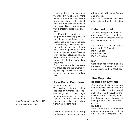L bias for idling, you must use the stand-by switch on the front panel. Remember, the Green bias system is not in the signal path and has only reference to the preamplifiers microprocess that is entirely outside the signalpath.

The Mephisto responds to preprogrammed switching points at the volume control, based on our experience with most speakers. It is however, possible to lower the switching positions if you have efficient speakers or if you wish to play at 100% Class A even at low playback levels. Please refer to the preamplifier´s manual for further information about this.

If you remove the link between the Mephisto and the preamplifier, the amplifier will automatically revert to manual operation only.

#### **Rear Panel Functions**

#### Speaker terminals

The binding posts are custom designed by Gryphon. The special design will provide a tight reliable connection to: plugs, lugs or bare wire. Do not use tools or excessive force when tightening the terminals.

**Link in** is automatic switching the Mephisto on when connected to a unit with same feature and protocol.

**Link out** is automatic switching other units on from the Mephisto

#### **Balanced Input.**

The Mephisto provides only balanced input. There are no deteriorating phono sockets in parallel with the balanced input.

The Mephisto balanced inputs are made to AES standards: Pin # 1 Shield Pin # 2 Positive Pin # 3 Negative

#### **BIAS**

Connection for Green bias link between compatible Gryphon preamplifier´s and the Mephisto

#### **The Mephisto protection System**

Gryphon has designed a unique comprehensive system with no circuit breakers in the signal path. The "smart" Gryphon protection system constantly monitors the amplifier by checking 10 times per sec. when the amplifier is on.

#### DC & HF:

When DC or HF from the source component is detected, or du to an internal problem, the

*checking the amplifier 10 times every second*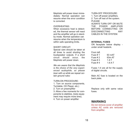Mephisto will power down immediately: Normal operation can resume when the error condition is corrected.

#### OVERHEATING:

When excessive heat is detected, the thermal sensor will react and the amplifier will go in standby mode. Normal operation can resume when the temperature is within safe operating limits.

#### SHORT CIRCUIT:

Special care should be taken at all times to avoid shorting the loudspeaker outputs. If a short circuit should occur, the Mephisto will power down.

*We are aware that the Mephisto is the choice of the very experienced audiophile, so please bear with us while we repeat certain ground rules:*

#### TURN-ON PROCEDURE:

1. Turn on source components, Turntable, CD Player, etc.) 2. Turn on preamplifier 3. Allow a few moments for components to stabilize, (tube equipment may require more time). 4. Turn on power amplifier

TURN-OFF PROCEDURE:

1. Turn off power amplifiers.

2. Turn off rest of the system. PLEASE

ALWAYS TURN OFF OR MUTE THE POWER AMPLIFIER BEFORE CONNECTING OR DISCONNECTING ANY CABLES IN THE SYSTEM.

#### **INTERNAL FUSES**

ON faceplate below display under small heatsink.

| From left |                    |
|-----------|--------------------|
| Fuse # 1  | 63 mAT             |
| Fuse # 2  | 63 <sub>m</sub> AT |
| Fuse $#3$ | 1 A T              |
| Fuse $#4$ | 16AT               |

Fuses 1-4 are all for the supply of digital circuits.

Main AC fuse is located on the back plate.

Replace only with same value fuses.

#### **WARNING**

Do not remove cover of amplifier unless AC cords are removed from amplifier.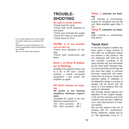**TROUBLE-SHOOTING**

#### **No Light in on/stb indicator**

\*Check both AC cords \*Check both on/off switches on rear panel

\*Check your domestic AC supply \*Check AC fuses on rear panel

\*Check fuses on front

#### **On/Stb is on but amplifier will not start up.**

\*Check error indicators on display

\*Check both powercords and fuses.

#### **Error L or Error R indicator is flashing.**

Amplifier has powered down due to a DC or RF error. Correct problem ( check connected equipment ) and power the amplifier up again.

#### **AC error indicator are flashing.**

**AC power is not meeting amplifiers minimum requirement.**

\*Available AC power is too low. Minimum requirement is:

100 - 120v. countries : 95 v. 200 - 240v. countries : 190 v.

**Temp. L indicator are flashing:**

Left channel is overheating. secure air circulation around the unit. Start amplifier again after 5 min.

**Temp R. indicators are flashing:**

Right channel is overheating. See above.

## **Tweak Alert**

In the best Gryphon tradition we have spent a huge amount of time with our prototypes before we release a new product. We are obsessed with what we do and consider ourselves to be open-minded and are fascinated by the "Grey area" between logical, technical facts and things we just hear that make no obvious technical sense.We will implement them as long as it does not sacrifice safety or reliability. In the Mephisto design a number of tweaks can be found and the result is a fine balance that can easily be disturbed.

We strongly advise against any alteration of the original design. it will void the warranty and most certainly only provide a diffence, not a real improvement of musical realism.

We are fully aware of the fun of playing with AC conditioners, bricks, platforms, cables and so on. We appreciate much of it,

*If you need support you must contact the dealer where you purchased the unit.*

*Requests for support directed to our service department will be forwarded to your dealer.*

*We can not offer direct support.*